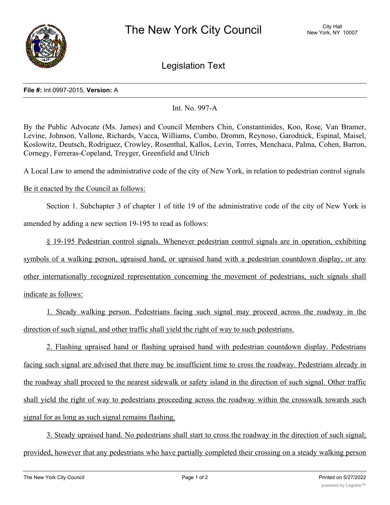

Legislation Text

## **File #:** Int 0997-2015, **Version:** A

Int. No. 997-A

By the Public Advocate (Ms. James) and Council Members Chin, Constantinides, Koo, Rose, Van Bramer, Levine, Johnson, Vallone, Richards, Vacca, Williams, Cumbo, Dromm, Reynoso, Garodnick, Espinal, Maisel, Koslowitz, Deutsch, Rodriguez, Crowley, Rosenthal, Kallos, Levin, Torres, Menchaca, Palma, Cohen, Barron, Cornegy, Ferreras-Copeland, Treyger, Greenfield and Ulrich

A Local Law to amend the administrative code of the city of New York, in relation to pedestrian control signals

## Be it enacted by the Council as follows:

Section 1. Subchapter 3 of chapter 1 of title 19 of the administrative code of the city of New York is amended by adding a new section 19-195 to read as follows:

§ 19-195 Pedestrian control signals. Whenever pedestrian control signals are in operation, exhibiting symbols of a walking person, upraised hand, or upraised hand with a pedestrian countdown display, or any other internationally recognized representation concerning the movement of pedestrians, such signals shall indicate as follows:

1. Steady walking person. Pedestrians facing such signal may proceed across the roadway in the direction of such signal, and other traffic shall yield the right of way to such pedestrians.

2. Flashing upraised hand or flashing upraised hand with pedestrian countdown display. Pedestrians facing such signal are advised that there may be insufficient time to cross the roadway. Pedestrians already in the roadway shall proceed to the nearest sidewalk or safety island in the direction of such signal. Other traffic shall yield the right of way to pedestrians proceeding across the roadway within the crosswalk towards such signal for as long as such signal remains flashing.

3. Steady upraised hand. No pedestrians shall start to cross the roadway in the direction of such signal; provided, however that any pedestrians who have partially completed their crossing on a steady walking person